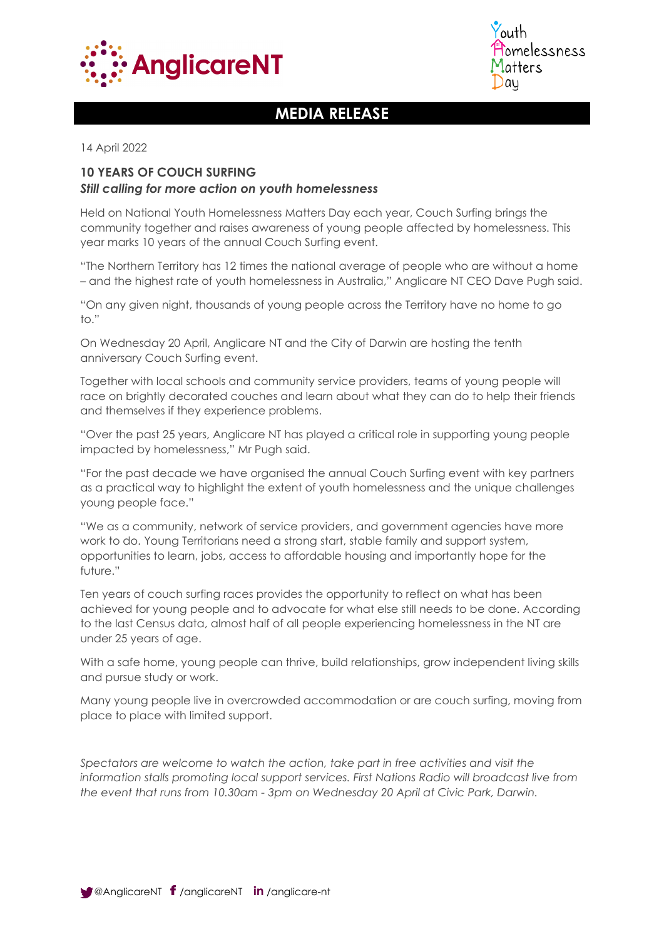



# **MEDIA RELEASE**

14 April 2022

## **10 YEARS OF COUCH SURFING** *Still calling for more action on youth homelessness*

Held on National Youth Homelessness Matters Day each year, Couch Surfing brings the community together and raises awareness of young people affected by homelessness. This year marks 10 years of the annual Couch Surfing event.

"The Northern Territory has 12 times the national average of people who are without a home – and the highest rate of youth homelessness in Australia," Anglicare NT CEO Dave Pugh said.

"On any given night, thousands of young people across the Territory have no home to go to."

On Wednesday 20 April, Anglicare NT and the City of Darwin are hosting the tenth anniversary Couch Surfing event.

Together with local schools and community service providers, teams of young people will race on brightly decorated couches and learn about what they can do to help their friends and themselves if they experience problems.

"Over the past 25 years, Anglicare NT has played a critical role in supporting young people impacted by homelessness," Mr Pugh said.

"For the past decade we have organised the annual Couch Surfing event with key partners as a practical way to highlight the extent of youth homelessness and the unique challenges young people face."

"We as a community, network of service providers, and government agencies have more work to do. Young Territorians need a strong start, stable family and support system, opportunities to learn, jobs, access to affordable housing and importantly hope for the future."

Ten years of couch surfing races provides the opportunity to reflect on what has been achieved for young people and to advocate for what else still needs to be done. According to the last Census data, almost half of all people experiencing homelessness in the NT are under 25 years of age.

With a safe home, young people can thrive, build relationships, grow independent living skills and pursue study or work.

Many young people live in overcrowded accommodation or are couch surfing, moving from place to place with limited support.

*Spectators are welcome to watch the action, take part in free activities and visit the information stalls promoting local support services. First Nations Radio will broadcast live from the event that runs from 10.30am - 3pm on Wednesday 20 April at Civic Park, Darwin.*